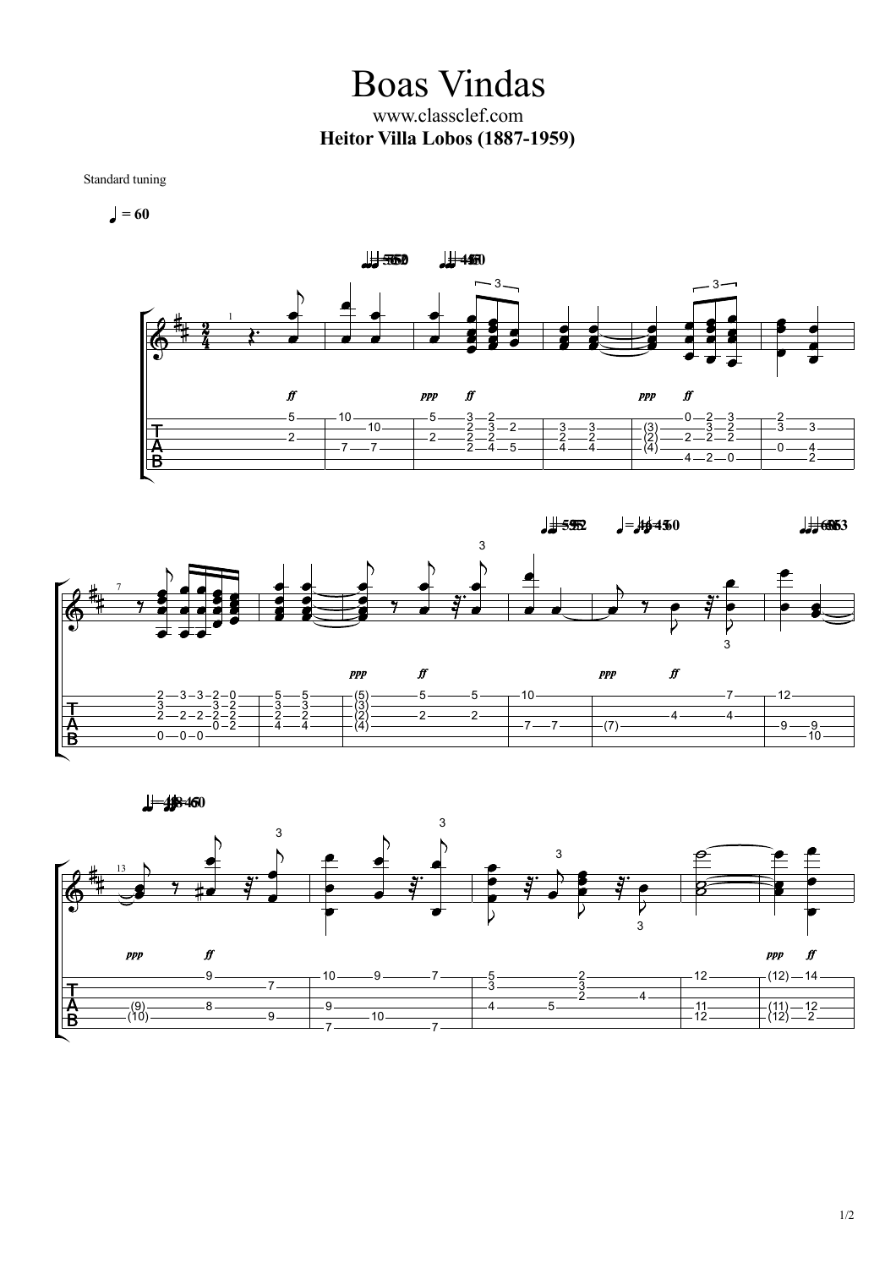Boas Vindas www.classclef.com **Heitor Villa Lobos (1887-1959)**

Standard tuning

 $= 60$